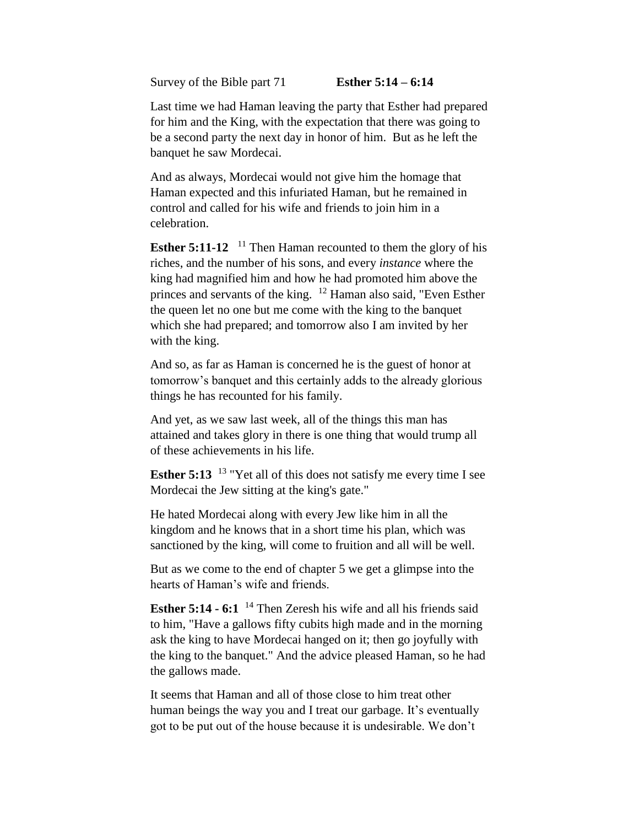Survey of the Bible part 71 **Esther 5:14 – 6:14**

Last time we had Haman leaving the party that Esther had prepared for him and the King, with the expectation that there was going to be a second party the next day in honor of him. But as he left the banquet he saw Mordecai.

And as always, Mordecai would not give him the homage that Haman expected and this infuriated Haman, but he remained in control and called for his wife and friends to join him in a celebration.

**Esther 5:11-12** <sup>11</sup> Then Haman recounted to them the glory of his riches, and the number of his sons, and every *instance* where the king had magnified him and how he had promoted him above the princes and servants of the king. <sup>12</sup> Haman also said, "Even Esther the queen let no one but me come with the king to the banquet which she had prepared; and tomorrow also I am invited by her with the king.

And so, as far as Haman is concerned he is the guest of honor at tomorrow's banquet and this certainly adds to the already glorious things he has recounted for his family.

And yet, as we saw last week, all of the things this man has attained and takes glory in there is one thing that would trump all of these achievements in his life.

**Esther 5:13** <sup>13</sup> "Yet all of this does not satisfy me every time I see Mordecai the Jew sitting at the king's gate."

He hated Mordecai along with every Jew like him in all the kingdom and he knows that in a short time his plan, which was sanctioned by the king, will come to fruition and all will be well.

But as we come to the end of chapter 5 we get a glimpse into the hearts of Haman's wife and friends.

**Esther 5:14 - 6:1** <sup>14</sup> Then Zeresh his wife and all his friends said to him, "Have a gallows fifty cubits high made and in the morning ask the king to have Mordecai hanged on it; then go joyfully with the king to the banquet." And the advice pleased Haman, so he had the gallows made.

It seems that Haman and all of those close to him treat other human beings the way you and I treat our garbage. It's eventually got to be put out of the house because it is undesirable. We don't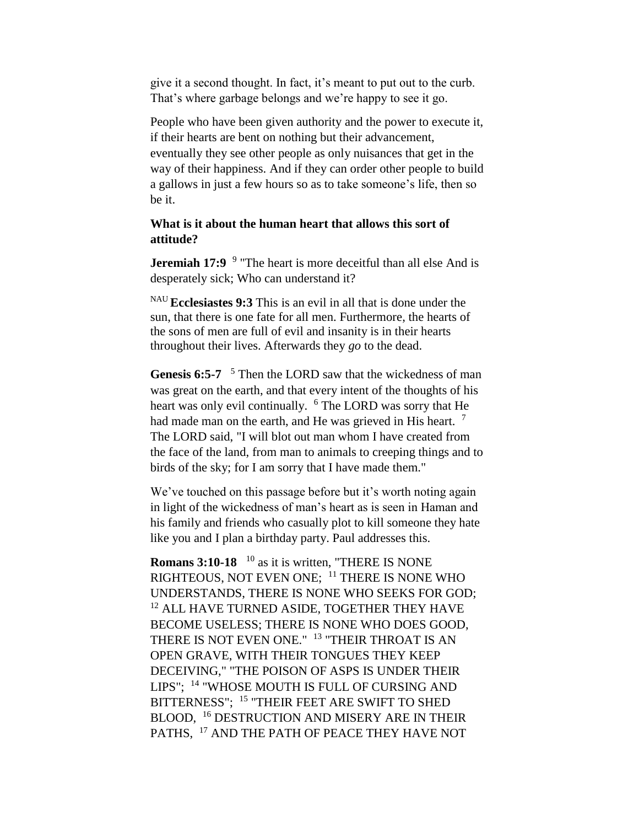give it a second thought. In fact, it's meant to put out to the curb. That's where garbage belongs and we're happy to see it go.

People who have been given authority and the power to execute it, if their hearts are bent on nothing but their advancement, eventually they see other people as only nuisances that get in the way of their happiness. And if they can order other people to build a gallows in just a few hours so as to take someone's life, then so be it.

## **What is it about the human heart that allows this sort of attitude?**

**Jeremiah 17:9** <sup>9</sup> "The heart is more deceitful than all else And is desperately sick; Who can understand it?

NAU **Ecclesiastes 9:3** This is an evil in all that is done under the sun, that there is one fate for all men. Furthermore, the hearts of the sons of men are full of evil and insanity is in their hearts throughout their lives. Afterwards they *go* to the dead.

Genesis 6:5-7 <sup>5</sup> Then the LORD saw that the wickedness of man was great on the earth, and that every intent of the thoughts of his heart was only evil continually. <sup>6</sup> The LORD was sorry that He had made man on the earth, and He was grieved in His heart. <sup>7</sup> The LORD said, "I will blot out man whom I have created from the face of the land, from man to animals to creeping things and to birds of the sky; for I am sorry that I have made them."

We've touched on this passage before but it's worth noting again in light of the wickedness of man's heart as is seen in Haman and his family and friends who casually plot to kill someone they hate like you and I plan a birthday party. Paul addresses this.

**Romans 3:10-18**  $^{10}$  as it is written, "THERE IS NONE RIGHTEOUS, NOT EVEN ONE; <sup>11</sup> THERE IS NONE WHO UNDERSTANDS, THERE IS NONE WHO SEEKS FOR GOD; <sup>12</sup> ALL HAVE TURNED ASIDE, TOGETHER THEY HAVE BECOME USELESS; THERE IS NONE WHO DOES GOOD, THERE IS NOT EVEN ONE." <sup>13</sup> "THEIR THROAT IS AN OPEN GRAVE, WITH THEIR TONGUES THEY KEEP DECEIVING," "THE POISON OF ASPS IS UNDER THEIR LIPS"; <sup>14</sup> "WHOSE MOUTH IS FULL OF CURSING AND BITTERNESS"; <sup>15</sup> "THEIR FEET ARE SWIFT TO SHED BLOOD, <sup>16</sup> DESTRUCTION AND MISERY ARE IN THEIR PATHS, <sup>17</sup> AND THE PATH OF PEACE THEY HAVE NOT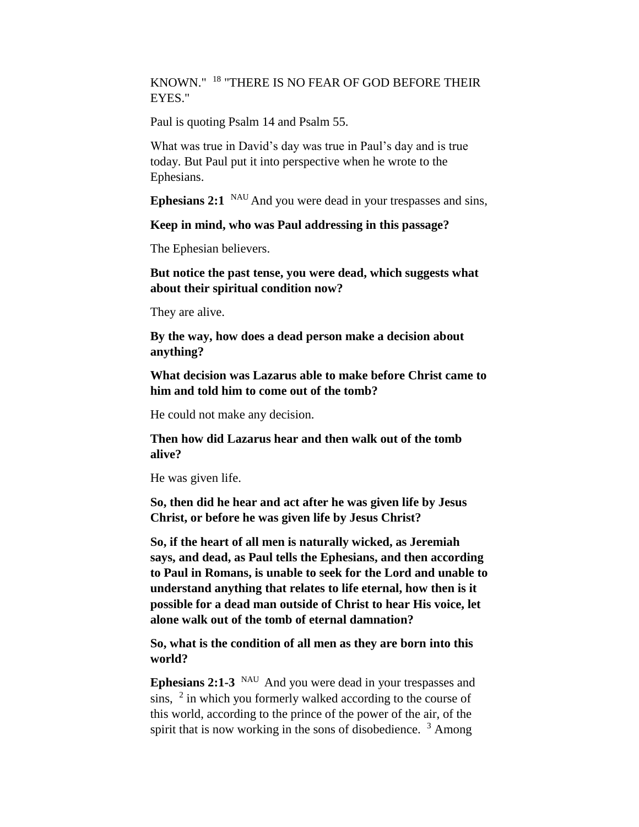KNOWN." <sup>18</sup> "THERE IS NO FEAR OF GOD BEFORE THEIR EYES."

Paul is quoting Psalm 14 and Psalm 55.

What was true in David's day was true in Paul's day and is true today. But Paul put it into perspective when he wrote to the Ephesians.

**Ephesians 2:1** <sup>NAU</sup> And you were dead in your trespasses and sins,

**Keep in mind, who was Paul addressing in this passage?**

The Ephesian believers.

**But notice the past tense, you were dead, which suggests what about their spiritual condition now?**

They are alive.

**By the way, how does a dead person make a decision about anything?**

**What decision was Lazarus able to make before Christ came to him and told him to come out of the tomb?**

He could not make any decision.

**Then how did Lazarus hear and then walk out of the tomb alive?**

He was given life.

**So, then did he hear and act after he was given life by Jesus Christ, or before he was given life by Jesus Christ?**

**So, if the heart of all men is naturally wicked, as Jeremiah says, and dead, as Paul tells the Ephesians, and then according to Paul in Romans, is unable to seek for the Lord and unable to understand anything that relates to life eternal, how then is it possible for a dead man outside of Christ to hear His voice, let alone walk out of the tomb of eternal damnation?**

**So, what is the condition of all men as they are born into this world?**

**Ephesians 2:1-3** NAU And you were dead in your trespasses and sins,  $2$  in which you formerly walked according to the course of this world, according to the prince of the power of the air, of the spirit that is now working in the sons of disobedience.  $3$  Among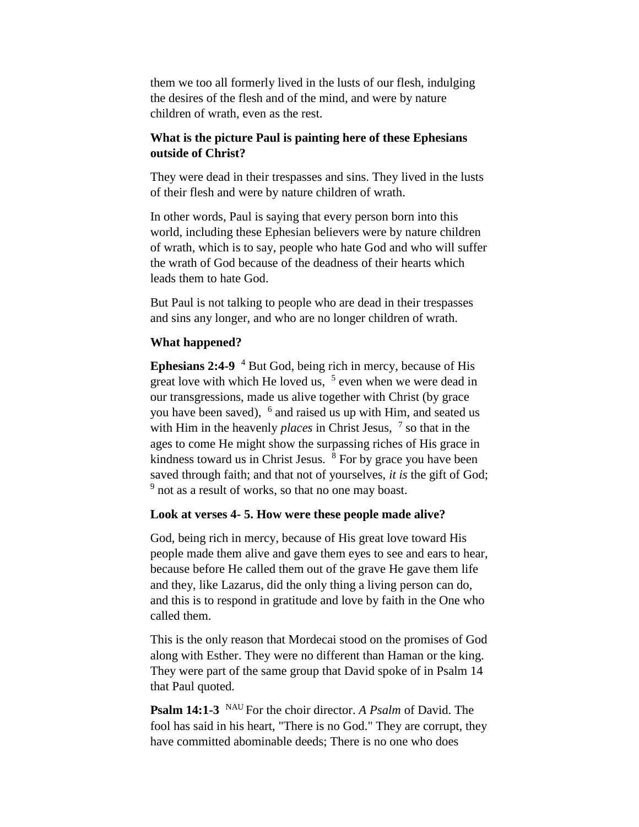them we too all formerly lived in the lusts of our flesh, indulging the desires of the flesh and of the mind, and were by nature children of wrath, even as the rest.

# **What is the picture Paul is painting here of these Ephesians outside of Christ?**

They were dead in their trespasses and sins. They lived in the lusts of their flesh and were by nature children of wrath.

In other words, Paul is saying that every person born into this world, including these Ephesian believers were by nature children of wrath, which is to say, people who hate God and who will suffer the wrath of God because of the deadness of their hearts which leads them to hate God.

But Paul is not talking to people who are dead in their trespasses and sins any longer, and who are no longer children of wrath.

### **What happened?**

**Ephesians 2:4-9** <sup>4</sup> But God, being rich in mercy, because of His great love with which He loved us,  $5$  even when we were dead in our transgressions, made us alive together with Christ (by grace you have been saved), <sup>6</sup> and raised us up with Him, and seated us with Him in the heavenly *places* in Christ Jesus, <sup>7</sup> so that in the ages to come He might show the surpassing riches of His grace in kindness toward us in Christ Jesus.  $8$  For by grace you have been saved through faith; and that not of yourselves, *it is* the gift of God; <sup>9</sup> not as a result of works, so that no one may boast.

### **Look at verses 4- 5. How were these people made alive?**

God, being rich in mercy, because of His great love toward His people made them alive and gave them eyes to see and ears to hear, because before He called them out of the grave He gave them life and they, like Lazarus, did the only thing a living person can do, and this is to respond in gratitude and love by faith in the One who called them.

This is the only reason that Mordecai stood on the promises of God along with Esther. They were no different than Haman or the king. They were part of the same group that David spoke of in Psalm 14 that Paul quoted.

**Psalm 14:1-3** <sup>NAU</sup> For the choir director. *A Psalm* of David. The fool has said in his heart, "There is no God." They are corrupt, they have committed abominable deeds; There is no one who does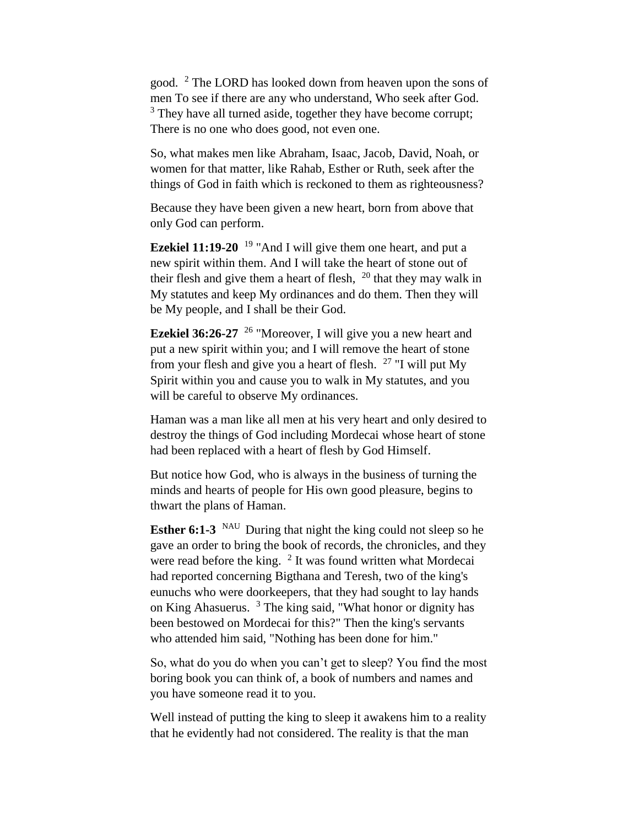good. <sup>2</sup> The LORD has looked down from heaven upon the sons of men To see if there are any who understand, Who seek after God. <sup>3</sup> They have all turned aside, together they have become corrupt; There is no one who does good, not even one.

So, what makes men like Abraham, Isaac, Jacob, David, Noah, or women for that matter, like Rahab, Esther or Ruth, seek after the things of God in faith which is reckoned to them as righteousness?

Because they have been given a new heart, born from above that only God can perform.

**Ezekiel 11:19-20** <sup>19</sup> "And I will give them one heart, and put a new spirit within them. And I will take the heart of stone out of their flesh and give them a heart of flesh,  $20$  that they may walk in My statutes and keep My ordinances and do them. Then they will be My people, and I shall be their God.

**Ezekiel 36:26-27** <sup>26</sup> "Moreover, I will give you a new heart and put a new spirit within you; and I will remove the heart of stone from your flesh and give you a heart of flesh.  $27$  "I will put My Spirit within you and cause you to walk in My statutes, and you will be careful to observe My ordinances.

Haman was a man like all men at his very heart and only desired to destroy the things of God including Mordecai whose heart of stone had been replaced with a heart of flesh by God Himself.

But notice how God, who is always in the business of turning the minds and hearts of people for His own good pleasure, begins to thwart the plans of Haman.

**Esther 6:1-3** NAU During that night the king could not sleep so he gave an order to bring the book of records, the chronicles, and they were read before the king.  $2$  It was found written what Mordecai had reported concerning Bigthana and Teresh, two of the king's eunuchs who were doorkeepers, that they had sought to lay hands on King Ahasuerus. <sup>3</sup> The king said, "What honor or dignity has been bestowed on Mordecai for this?" Then the king's servants who attended him said, "Nothing has been done for him."

So, what do you do when you can't get to sleep? You find the most boring book you can think of, a book of numbers and names and you have someone read it to you.

Well instead of putting the king to sleep it awakens him to a reality that he evidently had not considered. The reality is that the man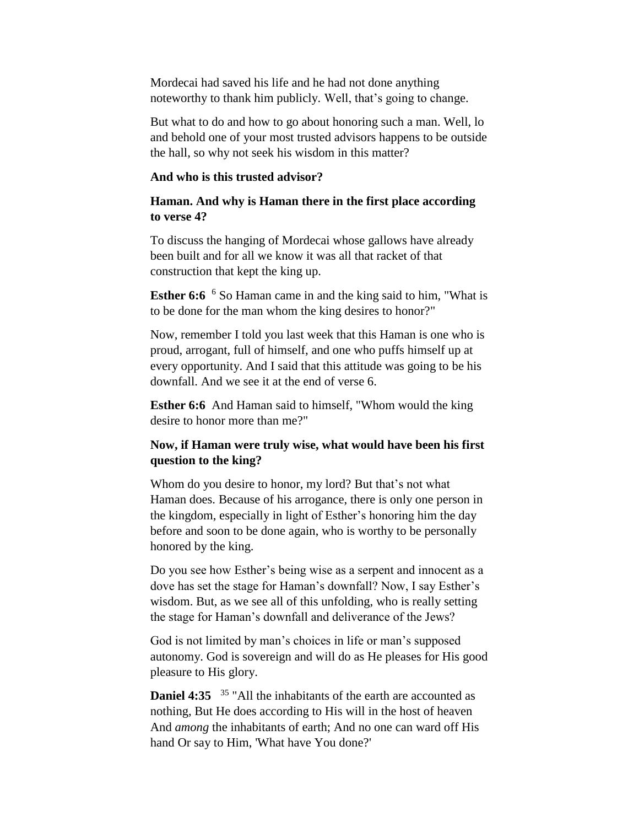Mordecai had saved his life and he had not done anything noteworthy to thank him publicly. Well, that's going to change.

But what to do and how to go about honoring such a man. Well, lo and behold one of your most trusted advisors happens to be outside the hall, so why not seek his wisdom in this matter?

### **And who is this trusted advisor?**

# **Haman. And why is Haman there in the first place according to verse 4?**

To discuss the hanging of Mordecai whose gallows have already been built and for all we know it was all that racket of that construction that kept the king up.

**Esther 6:6** <sup>6</sup> So Haman came in and the king said to him, "What is to be done for the man whom the king desires to honor?"

Now, remember I told you last week that this Haman is one who is proud, arrogant, full of himself, and one who puffs himself up at every opportunity. And I said that this attitude was going to be his downfall. And we see it at the end of verse 6.

**Esther 6:6** And Haman said to himself, "Whom would the king desire to honor more than me?"

# **Now, if Haman were truly wise, what would have been his first question to the king?**

Whom do you desire to honor, my lord? But that's not what Haman does. Because of his arrogance, there is only one person in the kingdom, especially in light of Esther's honoring him the day before and soon to be done again, who is worthy to be personally honored by the king.

Do you see how Esther's being wise as a serpent and innocent as a dove has set the stage for Haman's downfall? Now, I say Esther's wisdom. But, as we see all of this unfolding, who is really setting the stage for Haman's downfall and deliverance of the Jews?

God is not limited by man's choices in life or man's supposed autonomy. God is sovereign and will do as He pleases for His good pleasure to His glory.

**Daniel 4:35** <sup>35</sup> "All the inhabitants of the earth are accounted as nothing, But He does according to His will in the host of heaven And *among* the inhabitants of earth; And no one can ward off His hand Or say to Him, 'What have You done?'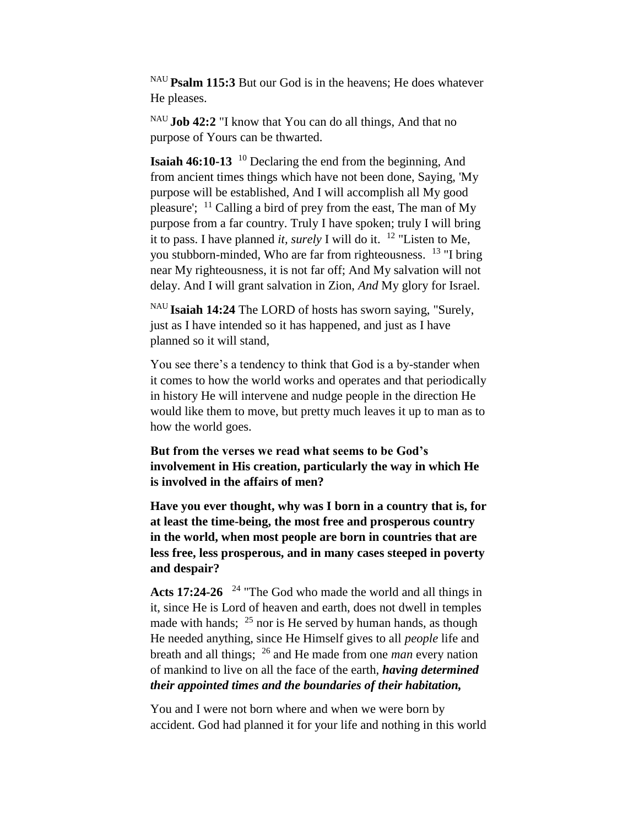NAU **Psalm 115:3** But our God is in the heavens; He does whatever He pleases.

NAU **Job 42:2** "I know that You can do all things, And that no purpose of Yours can be thwarted.

**Isaiah 46:10-13** <sup>10</sup> Declaring the end from the beginning, And from ancient times things which have not been done, Saying, 'My purpose will be established, And I will accomplish all My good pleasure';  $\frac{11}{11}$  Calling a bird of prey from the east, The man of My purpose from a far country. Truly I have spoken; truly I will bring it to pass. I have planned *it, surely* I will do it. <sup>12</sup> "Listen to Me, you stubborn-minded, Who are far from righteousness. <sup>13</sup> "I bring near My righteousness, it is not far off; And My salvation will not delay. And I will grant salvation in Zion, *And* My glory for Israel.

NAU **Isaiah 14:24** The LORD of hosts has sworn saying, "Surely, just as I have intended so it has happened, and just as I have planned so it will stand,

You see there's a tendency to think that God is a by-stander when it comes to how the world works and operates and that periodically in history He will intervene and nudge people in the direction He would like them to move, but pretty much leaves it up to man as to how the world goes.

**But from the verses we read what seems to be God's involvement in His creation, particularly the way in which He is involved in the affairs of men?**

**Have you ever thought, why was I born in a country that is, for at least the time-being, the most free and prosperous country in the world, when most people are born in countries that are less free, less prosperous, and in many cases steeped in poverty and despair?**

Acts 17:24-26 <sup>24</sup> "The God who made the world and all things in it, since He is Lord of heaven and earth, does not dwell in temples made with hands;  $^{25}$  nor is He served by human hands, as though He needed anything, since He Himself gives to all *people* life and breath and all things; <sup>26</sup> and He made from one *man* every nation of mankind to live on all the face of the earth, *having determined their appointed times and the boundaries of their habitation,* 

You and I were not born where and when we were born by accident. God had planned it for your life and nothing in this world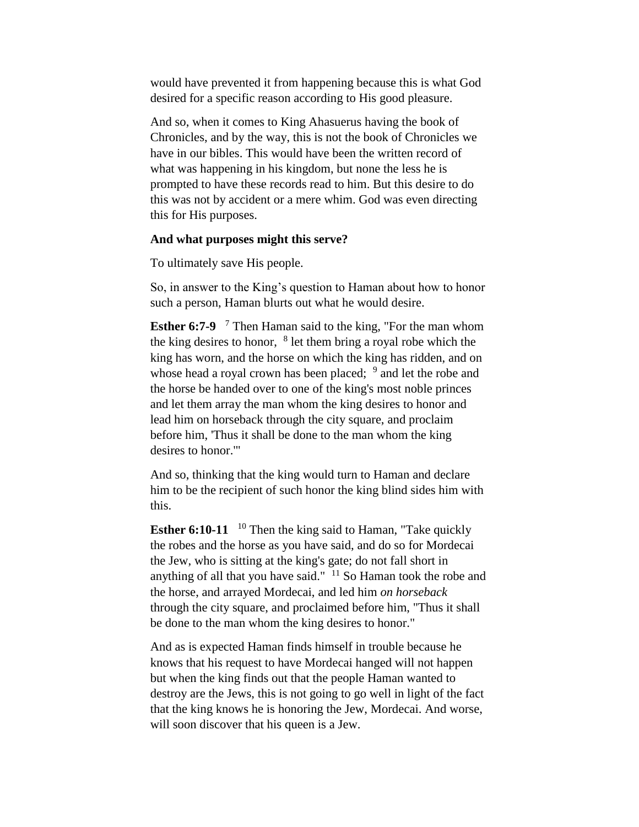would have prevented it from happening because this is what God desired for a specific reason according to His good pleasure.

And so, when it comes to King Ahasuerus having the book of Chronicles, and by the way, this is not the book of Chronicles we have in our bibles. This would have been the written record of what was happening in his kingdom, but none the less he is prompted to have these records read to him. But this desire to do this was not by accident or a mere whim. God was even directing this for His purposes.

#### **And what purposes might this serve?**

To ultimately save His people.

So, in answer to the King's question to Haman about how to honor such a person, Haman blurts out what he would desire.

**Esther 6:7-9** <sup>7</sup> Then Haman said to the king, "For the man whom the king desires to honor,  $8$  let them bring a royal robe which the king has worn, and the horse on which the king has ridden, and on whose head a royal crown has been placed; <sup>9</sup> and let the robe and the horse be handed over to one of the king's most noble princes and let them array the man whom the king desires to honor and lead him on horseback through the city square, and proclaim before him, 'Thus it shall be done to the man whom the king desires to honor.'"

And so, thinking that the king would turn to Haman and declare him to be the recipient of such honor the king blind sides him with this.

**Esther 6:10-11** <sup>10</sup> Then the king said to Haman, "Take quickly the robes and the horse as you have said, and do so for Mordecai the Jew, who is sitting at the king's gate; do not fall short in anything of all that you have said."  $11$  So Haman took the robe and the horse, and arrayed Mordecai, and led him *on horseback*  through the city square, and proclaimed before him, "Thus it shall be done to the man whom the king desires to honor."

And as is expected Haman finds himself in trouble because he knows that his request to have Mordecai hanged will not happen but when the king finds out that the people Haman wanted to destroy are the Jews, this is not going to go well in light of the fact that the king knows he is honoring the Jew, Mordecai. And worse, will soon discover that his queen is a Jew.